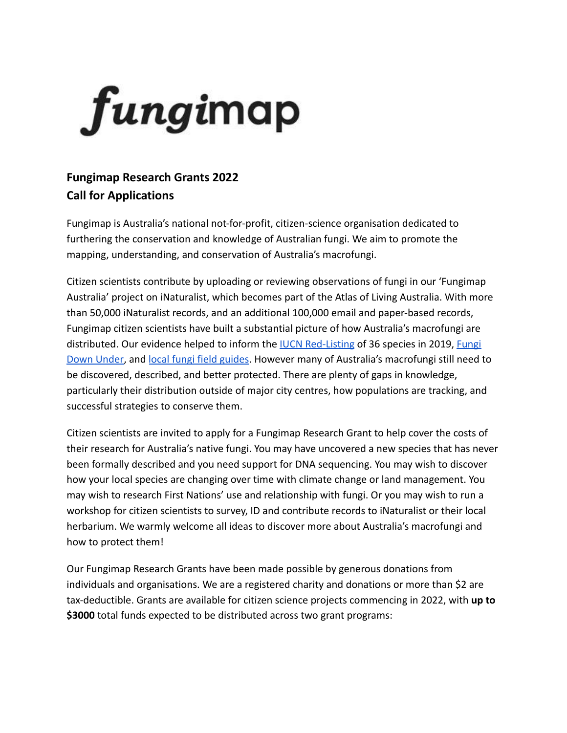

## **Fungimap Research Grants 2022 Call for Applications**

Fungimap is Australia's national not-for-profit, citizen-science organisation dedicated to furthering the conservation and knowledge of Australian fungi. We aim to promote the mapping, understanding, and conservation of Australia's macrofungi.

Citizen scientists contribute by uploading or reviewing observations of fungi in our 'Fungimap Australia' project on iNaturalist, which becomes part of the Atlas of Living Australia. With more than 50,000 iNaturalist records, and an additional 100,000 email and paper-based records, Fungimap citizen scientists have built a substantial picture of how Australia's macrofungi are distributed. Our evidence helped to inform the **IUCN [Red-Listing](http://iucn.ekoo.se/en/iucn/welcome#:~:text=The%20IUCN%20Red%20List%20is,of%20priorities%20in%20nature%20conservation.) of 36 species in 2019**, *[Fungi](https://fungimap.org.au/fungi-down-under-100-target-species/)* [Down Under,](https://fungimap.org.au/fungi-down-under-100-target-species/) and [local fungi field guides.](https://www.landscape.sa.gov.au/mr/get-involved/citizen-science/fungi-monitoring) However many of Australia's macrofungi still need to be discovered, described, and better protected. There are plenty of gaps in knowledge, particularly their distribution outside of major city centres, how populations are tracking, and successful strategies to conserve them.

Citizen scientists are invited to apply for a Fungimap Research Grant to help cover the costs of their research for Australia's native fungi. You may have uncovered a new species that has never been formally described and you need support for DNA sequencing. You may wish to discover how your local species are changing over time with climate change or land management. You may wish to research First Nations' use and relationship with fungi. Or you may wish to run a workshop for citizen scientists to survey, ID and contribute records to iNaturalist or their local herbarium. We warmly welcome all ideas to discover more about Australia's macrofungi and how to protect them!

Our Fungimap Research Grants have been made possible by generous donations from individuals and organisations. We are a registered charity and donations or more than \$2 are tax-deductible. Grants are available for citizen science projects commencing in 2022, with **up to \$3000** total funds expected to be distributed across two grant programs: